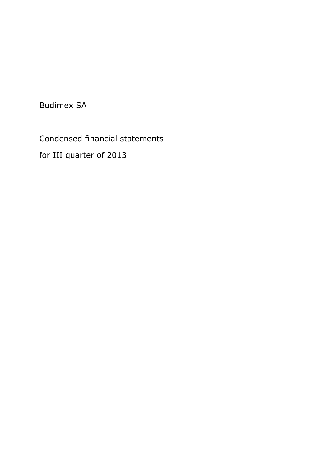Budimex SA

Condensed financial statements

for III quarter of 2013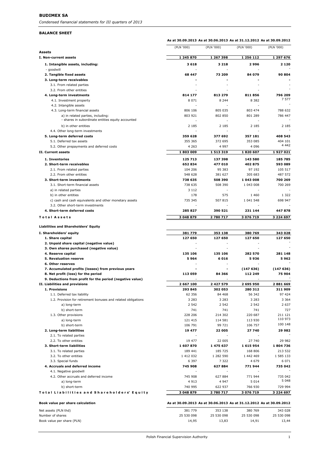#### **BALANCE SHEET**

|                                                                                        | As at 30.09.2013 As at 30.06.2013 As at 31.12.2012 As at 30.09.2012 |            |            |               |
|----------------------------------------------------------------------------------------|---------------------------------------------------------------------|------------|------------|---------------|
|                                                                                        | (PLN '000)                                                          | (PLN '000) | (PLN '000) | (PLN '000)    |
| <b>Assets</b><br>I. Non-current assets                                                 | 1 245 870                                                           | 1 267 398  | 1 256 112  | 1 297 676     |
| 1. Intangible assets, including:                                                       | 3618                                                                | 3 218      | 2996       | 2 1 2 0       |
| - goodwill                                                                             |                                                                     |            |            |               |
| 2. Tangible fixed assets                                                               | 68 447                                                              | 73 209     | 84 079     | 90 804        |
| 3. Long-term receivables                                                               |                                                                     |            |            |               |
| 3.1. From related parties                                                              |                                                                     |            |            |               |
| 3.2. From other entities                                                               |                                                                     |            |            |               |
| 4. Long-term investments                                                               | 814 177                                                             | 813 279    | 811856     | 796 209       |
| 4.1. Investment property                                                               | 8 0 7 1                                                             | 8 2 4 4    | 8 3 8 2    | 7577          |
| 4.2. Intangible assets                                                                 |                                                                     |            |            |               |
| 4.3. Long-term financial assets                                                        | 806 106                                                             | 805 035    | 803 474    | 788 632       |
| a) in related parties, including:<br>- shares in subordinate entities equity accounted | 803 921                                                             | 802 850    | 801 289    | 786 447       |
| b) in other entities                                                                   | 2 1 8 5                                                             | 2 1 8 5    | 2 185      | 2 185         |
| 4.4. Other long-term investments                                                       |                                                                     |            |            |               |
| 5. Long-term deferred costs                                                            | 359 628                                                             | 377 692    | 357 181    | 408 543       |
| 5.1. Deferred tax assets                                                               | 355 365                                                             | 372 695    | 353 085    | 404 101       |
| 5.2. Other prepayments and deferred costs                                              | 4 2 6 3                                                             | 4 9 9 7    | 4 0 9 6    | 4 442         |
| II. Current assets                                                                     | 1803009                                                             | 1513319    | 1820607    | 1927021       |
| 1. Inventories                                                                         | 125 713                                                             | 137 398    | 143 580    | 185 785       |
| 2. Short-term receivables                                                              | 652834                                                              | 477 010    | 402 875    | 593 089       |
| 2.1. From related parties                                                              | 104 206                                                             | 95 383     | 97 192     | 105 517       |
| 2.2. From other entities                                                               | 548 628                                                             | 381 627    | 305 683    | 487 572       |
| 3. Short-term investments                                                              | 738 635                                                             | 508 390    | 1 043 008  | 700 269       |
| 3.1. Short-term financial assets                                                       | 738 635                                                             | 508 390    | 1 043 008  | 700 269       |
| a) in related parties                                                                  | 3 1 1 2                                                             |            |            |               |
| b) in other entities                                                                   | 178                                                                 | 575        | 1 4 6 0    | 1 3 2 2       |
| c) cash and cash equivalents and other monetary assets                                 | 735 345                                                             | 507 815    | 1 041 548  | 698 947       |
| 3.2. Other short-term investments                                                      |                                                                     |            |            |               |
| 4. Short-term deferred costs                                                           | 285 827                                                             | 390 521    | 231 144    | 447878        |
| <b>Total Assets</b>                                                                    | 3 048 879                                                           | 2 780 717  | 3 076 719  | 3 2 2 4 6 9 7 |
| <b>Liabilities and Shareholders' Equity</b>                                            |                                                                     |            |            |               |
|                                                                                        |                                                                     |            |            |               |
| I. Shareholders' equity                                                                | 381 779                                                             | 353 138    | 380 769    | 343 028       |
| 1. Share capital                                                                       | 127 650                                                             | 127 650    | 127 650    | 127 650       |
| 2. Unpaid share capital (negative value)                                               |                                                                     |            |            |               |
| 3. Own shares purchased (negative value)<br>4. Reserve capital                         | 135 106                                                             | 135 106    | 282 570    | 281 148       |
| 5. Revaluation reserve                                                                 | 5964                                                                | 6 016      | 5936       | 5962          |
| 6. Other reserves                                                                      |                                                                     |            |            |               |
| 7. Accumulated profits (losses) from previous years                                    |                                                                     |            | (147636)   | (147636)      |
| 8. Net profit (loss) for the period                                                    | 113 059                                                             | 84 366     | 112 249    | 75 904        |
| 9. Deductions from profit for the period (negative value)                              |                                                                     |            |            |               |
| II. Liabilities and provisions                                                         | 2 667 100                                                           | 2 427 579  | 2 695 950  | 2881669       |
| 1. Provisions                                                                          | 293 845                                                             | 302 053    | 280 312    | 311 909       |
| 1.1. Deferred tax liability                                                            | 62 356                                                              | 84 468     | 56 342     | 97 424        |
| 1.2. Provision for retirement bonuses and related obligations                          | 3 2 8 3                                                             | 3 2 8 3    | 3 2 8 3    | 3 3 6 4       |
| a) long-term                                                                           | 2 5 4 2                                                             | 2 5 4 2    | 2 5 4 2    | 2 6 3 7       |
| b) short-term                                                                          | 741                                                                 | 741        | 741        | 727           |
| 1.3. Other provisions                                                                  | 228 206                                                             | 214 302    | 220 687    | 211 121       |
| a) long-term                                                                           | 121 415                                                             | 114 581    | 113 930    | 110 973       |
| b) short-term                                                                          | 106 791                                                             | 99 721     | 106 757    | 100 148       |
| 2. Long-term liabilities                                                               | 19 477                                                              | 22 005     | 27 740     | 29 982        |
| 2.1. To related parties                                                                | $\overline{a}$                                                      |            |            |               |
| 2.2. To other entities                                                                 | 19 477                                                              | 22 005     | 27 740     | 29 982        |
| 3. Short-term liabilities                                                              | 1607870                                                             | 1 475 637  | 1615954    | 1804736       |
| 3.1. To related parties                                                                | 189 441                                                             | 185 725    | 168 806    | 213 532       |
| 3.2. To other entities                                                                 | 1 412 032                                                           | 1 282 590  | 1 442 469  | 1 585 133     |
| 3.3. Special funds                                                                     | 6 3 9 7                                                             | 7 3 2 2    | 4 6 7 9    | 6 0 7 1       |
| 4. Accruals and deferred income                                                        | 745 908                                                             | 627884     | 771944     | 735 042       |
| 4.1. Negative goodwill                                                                 |                                                                     |            |            |               |
| 4.2. Other accruals and deferred income                                                | 745 908                                                             | 627 884    | 771 944    | 735 042       |
| a) long-term                                                                           | 4 9 1 3                                                             | 4 947      | 5 0 1 4    | 5 0 4 8       |
| b) short-term                                                                          | 740 995                                                             | 622 937    | 766 930    | 729 994       |
| Total Liabilities and Shareholders' Equity                                             | 3 048 879                                                           | 2 780 717  | 3 076 719  | 3 2 2 4 6 9 7 |
|                                                                                        |                                                                     |            |            |               |

| Book value per share calculation | As at 30.09.2013 As at 30.06.2013 As at 31.12.2012 As at 30.09.2012 |            |            |            |
|----------------------------------|---------------------------------------------------------------------|------------|------------|------------|
| Net assets (PLN thd)             | 381 779                                                             | 353 138    | 380 769    | 343 028    |
| Number of shares                 | 25 530 098                                                          | 25 530 098 | 25 530 098 | 25 530 098 |
| Book value per share (PLN)       | 14.95                                                               | 13.83      | 14.91      | 13.44      |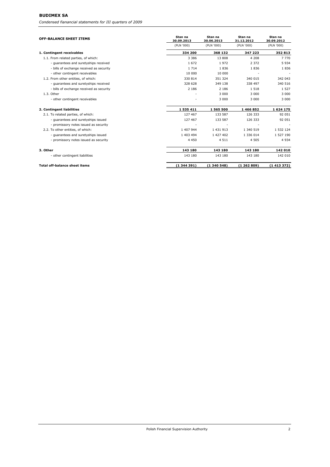# **BUDIMEX SA**

*Condensed fianancial statements for III quarters of 2009*

| <b>OFF-BALANCE SHEET ITEMS</b>           | Stan na<br>30.09.2013 | Stan na<br>30.06.2013 | Stan na<br>31.12.2012 | Stan na<br>30.09.2012 |
|------------------------------------------|-----------------------|-----------------------|-----------------------|-----------------------|
|                                          | (PLN '000)            | (PLN '000)            | (PLN '000)            | (PLN '000)            |
| 1. Contingent receivables                | 334 200               | 368 132               | 347 223               | 352 813               |
| 1.1. From related parties, of which:     | 3 3 8 6               | 13808                 | 4 2 0 8               | 7770                  |
| - quarantees and suretyships received    | 1672                  | 1972                  | 2 3 7 2               | 5934                  |
| - bills of exchange received as security | 1 7 1 4               | 1836                  | 1836                  | 1836                  |
| - other contingent receivables           | 10 000                | 10 000                |                       |                       |
| 1.2. From other entities, of which:      | 330 814               | 351 324               | 340 015               | 342 043               |
| - quarantees and suretyships received    | 328 628               | 349 138               | 338 497               | 340 516               |
| - bills of exchange received as security | 2 1 8 6               | 2 186                 | 1 5 1 8               | 1 5 2 7               |
| 1.3. Other                               |                       | 3 0 0 0               | 3 0 0 0               | 3 0 0 0               |
| - other contingent receivables           |                       | 3 0 0 0               | 3 0 0 0               | 3 0 0 0               |
| 2. Contingent liabilities                | 1 535 411             | 1 565 500             | 1 466 852             | 1624175               |
| 2.1. To related parties, of which:       | 127 467               | 133 587               | 126 333               | 92 051                |
| - quarantees and suretyships issued      | 127 467               | 133 587               | 126 333               | 92 051                |
| - promissory notes issued as security    |                       |                       |                       |                       |
| 2.2. To other entities, of which:        | 1 407 944             | 1 4 3 1 9 1 3         | 1 340 519             | 1 532 124             |
| - quarantees and suretyships issued      | 1 403 494             | 1 427 402             | 1 336 014             | 1 527 190             |
| - promissory notes issued as security    | 4 4 5 0               | 4 5 1 1               | 4 5 0 5               | 4 9 3 4               |
| 3. Other                                 | 143 180               | 143 180               | 143 180               | 142 010               |
| - other contingent liabilities           | 143 180               | 143 180               | 143 180               | 142 010               |
| <b>Total off-balance sheet items</b>     | (1344391)             | (1340548)             | (1262809)             | (1413372)             |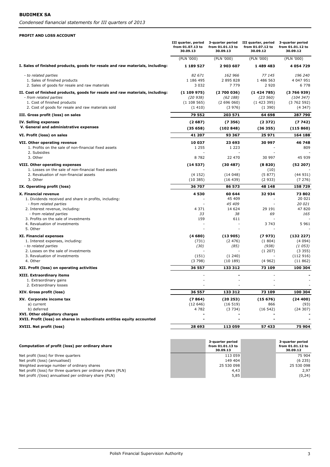*Condensed fianancial statements for III quarters of 2013*

#### **PROFIT AND LOSS ACCOUNT**

|                                                                                                         | III quarter, period<br>from 01.07.13 to<br>30.09.13 | 3-quarter period<br>from 01.01.13 to<br>30.09.13 | III quarter, period<br>from 01.07.12 to<br>30.09.12 | 3-quarter period<br>from 01.01.12 to<br>30.09.12 |
|---------------------------------------------------------------------------------------------------------|-----------------------------------------------------|--------------------------------------------------|-----------------------------------------------------|--------------------------------------------------|
|                                                                                                         | (PLN '000)                                          | (PLN '000)                                       | (PLN '000)                                          | (PLN '000)                                       |
| I. Sales of finished products, goods for resale and raw materials, including:                           | 1 189 527                                           | 2903607                                          | 1489483                                             | 4 054 729                                        |
| - to related parties                                                                                    | 82 671                                              | 162 966                                          | 77 145                                              | 196 240                                          |
| 1. Sales of finished products                                                                           | 1 186 495                                           | 2 895 828                                        | 1 486 563                                           | 4 047 951                                        |
| 2. Sales of goods for resale and raw materials                                                          | 3 0 3 2                                             | 7 7 7 9                                          | 2 9 2 0                                             | 6 7 7 8                                          |
| II. Cost of finished products, goods for resale and raw materials, including:                           | (1109975)                                           | (2700036)                                        | (1424785)                                           | (3766939)                                        |
| - from related parties<br>1. Cost of finished products                                                  | (20938)                                             | (62 188)                                         | (23 560)                                            | (104 347)                                        |
| 2. Cost of goods for resale and raw materials sold                                                      | (1108565)<br>(1410)                                 | (2696060)<br>(3976)                              | (1423395)<br>(1390)                                 | (3762592)<br>(4347)                              |
| III. Gross profit (loss) on sales                                                                       | 79 552                                              | 203 571                                          | 64 698                                              | 287 790                                          |
| IV. Selling expenses                                                                                    | (2687)                                              | (7356)                                           | (2372)                                              | (7742)                                           |
| V. General and administrative expenses                                                                  | (35658)                                             | (102848)                                         | (36355)                                             | (115 860)                                        |
| VI. Profit (loss) on sales                                                                              | 41 207                                              | 93 367                                           | 25 971                                              | 164 188                                          |
| VII. Other operating revenue                                                                            | 10 037                                              | 23 693                                           | 30 997                                              | 46 748                                           |
| 1. Profits on the sale of non-financial fixed assets                                                    | 1 2 5 5                                             | 1 2 2 3                                          |                                                     | 809                                              |
| 2. Subsidies                                                                                            |                                                     |                                                  |                                                     |                                                  |
| 3. Other                                                                                                | 8782                                                | 22 470                                           | 30 997                                              | 45 939                                           |
| VIII. Other operating expenses                                                                          | (14537)                                             | (30487)                                          | (8820)                                              | (52 207)                                         |
| 1. Losses on the sale of non-financial fixed assets<br>2. Revaluation of non-financial assets           | (4152)                                              | (14048)                                          | (10)<br>(5877)                                      | (44931)                                          |
| 3. Other                                                                                                | (10385)                                             | (16439)                                          | (2933)                                              | (7276)                                           |
| IX. Operating profit (loss)                                                                             | 36 707                                              | 86 573                                           | 48 148                                              | 158 729                                          |
| X. Financial revenue                                                                                    | 4530                                                | 60 644                                           | 32934                                               | 73802                                            |
| 1. Dividends received and share in profits, including:                                                  |                                                     | 45 409                                           |                                                     | 20 021                                           |
| - from related parties                                                                                  |                                                     | 45 409                                           |                                                     | 20 021                                           |
| 2. Interest revenue, including:                                                                         | 4 3 7 1                                             | 14 624                                           | 29 191                                              | 47820                                            |
| - from related parties                                                                                  | 33                                                  | 38                                               | 69                                                  | 165                                              |
| 3. Profits on the sale of investments<br>4. Revaluation of investments                                  | 159                                                 | 611                                              | 3 743                                               | 5961                                             |
| 5. Other                                                                                                |                                                     |                                                  |                                                     |                                                  |
| <b>XI. Financial expenses</b>                                                                           | (4680)                                              | (13905)                                          | (7973)                                              | (132 227)                                        |
| 1. Interest expenses, including:                                                                        | (731)                                               | (2476)                                           | (1804)                                              | (4094)                                           |
| - to related parties                                                                                    | (30)                                                | (85)                                             | (938)                                               | (1053)                                           |
| 2. Losses on the sale of investments                                                                    |                                                     |                                                  | (1 207)                                             | (3355)                                           |
| 3. Revaluation of investments<br>4. Other                                                               | (151)                                               | (1240)                                           | (4962)                                              | (112916)                                         |
| XII. Profit (loss) on operating activities                                                              | (3798)<br>36 557                                    | (10189)<br>133 312                               | 73 109                                              | (11862)<br>100 304                               |
|                                                                                                         |                                                     |                                                  |                                                     |                                                  |
| XIII. Extraordinary items<br>1. Extraordinary gains                                                     |                                                     |                                                  |                                                     |                                                  |
| 2. Extraordinary losses                                                                                 |                                                     |                                                  |                                                     |                                                  |
| XIV. Gross profit (loss)                                                                                | 36 557                                              | 133 312                                          | 73 109                                              | 100 304                                          |
| XV. Corporate income tax                                                                                | (7864)                                              | (20 253)                                         | (15676)                                             | (24400)                                          |
| a) current                                                                                              | (12646)                                             | (16519)                                          | 866                                                 | (93)                                             |
| b) deferred                                                                                             | 4 7 8 2                                             | (3734)                                           | (16542)                                             | (24307)                                          |
| XVI. Other obligatory charges<br>XVII. Profit (loss) on shares in subordinate entities equity accounted |                                                     |                                                  |                                                     |                                                  |
| XVIII. Net profit (loss)                                                                                | 28 693                                              | 113 059                                          | 57 433                                              | 75 904                                           |
|                                                                                                         |                                                     |                                                  |                                                     |                                                  |

| Computation of profit (loss) per ordinary share               | 3-guarter period<br>from 01.01.13 to<br>30.09.13 | 3-auarter period<br>from 01.01.12 to<br>30.09.12 |
|---------------------------------------------------------------|--------------------------------------------------|--------------------------------------------------|
| Net profit (loss) for three quarters                          | 113 059                                          | 75 904                                           |
| Net profit (loss) (annualised)                                | 149 404                                          | (6235)                                           |
| Weighted average number of ordinary shares                    | 25 530 098                                       | 25 530 098                                       |
| Net profit (loss) for three quarters per ordinary share (PLN) | 4.43                                             | 2.97                                             |
| Net profit /(loss) annualised per ordinary share (PLN)        | 5,85                                             | (0, 24)                                          |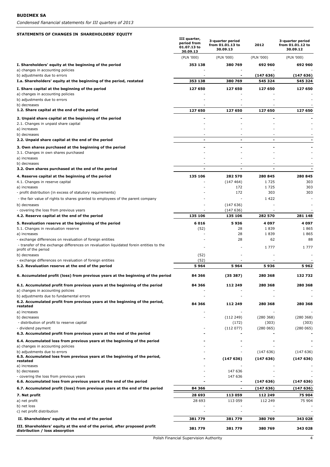*Condensed fianancial statements for III quarters of 2013*

#### **STATEMENTS OF CHANGES IN SHAREHOLDERS' EQUITY**

|                                                                                                                                                      | III quarter,<br>period from<br>01.07.13 to<br>30.09.13 | 3-quarter period<br>from 01.01.13 to<br>30.09.13 | 2012                 | 3-quarter period<br>from 01.01.12 to<br>30.09.12 |
|------------------------------------------------------------------------------------------------------------------------------------------------------|--------------------------------------------------------|--------------------------------------------------|----------------------|--------------------------------------------------|
|                                                                                                                                                      | (PLN '000)                                             | (PLN '000)                                       | (PLN '000)           | (PLN '000)                                       |
| I. Shareholders' equity at the beginning of the period<br>a) changes in accounting policies                                                          | 353 138                                                | 380 769                                          | 692 960              | 692 960                                          |
| b) adjustments due to errors<br>I.a. Shareholders' equity at the beginning of the period, restated                                                   | 353 138                                                | 380 769                                          | (147 636)<br>545 324 | (147636)<br>545 324                              |
|                                                                                                                                                      |                                                        |                                                  |                      |                                                  |
| I. Share capital at the beginning of the period<br>a) changes in accounting policies<br>b) adjustments due to errors                                 | 127 650                                                | 127 650                                          | 127 650              | 127 650                                          |
| b) decreases                                                                                                                                         |                                                        |                                                  |                      |                                                  |
| 1.2. Share capital at the end of the period                                                                                                          | 127 650                                                | 127 650                                          | 127 650              | 127 650                                          |
| 2. Unpaid share capital at the beginning of the period<br>2.1. Changes in unpaid share capital<br>a) increases                                       |                                                        |                                                  |                      |                                                  |
| b) decreases                                                                                                                                         |                                                        |                                                  |                      |                                                  |
| 2.2. Unpaid share capital at the end of the period                                                                                                   | ۰                                                      | $\blacksquare$                                   | $\blacksquare$       |                                                  |
| 3. Own shares purchased at the beginning of the period<br>3.1. Changes in own shares purchased                                                       |                                                        |                                                  |                      |                                                  |
| a) increases                                                                                                                                         |                                                        |                                                  |                      |                                                  |
| b) decreases                                                                                                                                         |                                                        |                                                  |                      |                                                  |
| 3.2. Own shares purchased at the end of the period                                                                                                   | 135 106                                                |                                                  |                      | 280 845                                          |
| 4. Reserve capital at the beginning of the period<br>4.1. Changes in reserve capital                                                                 |                                                        | 282 570<br>(147464)                              | 280 845<br>1725      | 303                                              |
| a) increases<br>- profit distribution (in excess of statutory requirements)                                                                          |                                                        | 172<br>172                                       | 1725<br>303          | 303<br>303                                       |
| - the fair value of rights to shares granted to employees of the parent company                                                                      |                                                        |                                                  | 1422                 |                                                  |
| b) decreases                                                                                                                                         |                                                        | (147636)                                         |                      |                                                  |
| - covering the loss from previous years<br>4.2. Reserve capital at the end of the period                                                             | 135 106                                                | (147636)<br>135 106                              | 282 570              | 281 148                                          |
| 5. Revaluation reserve at the beginning of the period                                                                                                | 6016                                                   | 5936                                             | 4097                 | 4 097                                            |
| 5.1. Changes in revaluation reserve                                                                                                                  | (52)                                                   | 28                                               | 1839                 | 1865                                             |
| a) increases                                                                                                                                         |                                                        | 28                                               | 1839                 | 1865                                             |
| - exchange differences on revaluation of foreign entities<br>- transfer of the exchange differences on revaluation liquidated forein entities to the |                                                        | 28                                               | 62<br>1 7 7 7        | 88<br>1 777                                      |
| profit of the period<br>b) decreases                                                                                                                 | (52)                                                   |                                                  |                      |                                                  |
| - exchange differences on revaluation of foreign entities                                                                                            | (52)                                                   |                                                  |                      |                                                  |
| 5.2. Revaluation reserve at the end of the period                                                                                                    | 5964                                                   | 5964                                             | 5936                 | 5962                                             |
| 6. Accumulated profit (loss) from previous years at the beginning of the period                                                                      | 84 366                                                 | (35387)                                          | 280 368              | 132732                                           |
| 6.1. Accumulated profit from previous years at the beginning of the period<br>a) changes in accounting policies                                      | 84 366                                                 | 112 249                                          | 280 368              | 280 368                                          |
| b) adjustments due to fundamental errors<br>6.2. Accumulated profit from previous years at the beginning of the period,                              |                                                        |                                                  |                      |                                                  |
| restated<br>a) increases                                                                                                                             | 84 366                                                 | 112 249                                          | 280 368              | 280 368                                          |
| b) decreases                                                                                                                                         |                                                        | (112 249)                                        | (280 368)            | (280 368)                                        |
| - distribution of profit to reserve capital                                                                                                          |                                                        | (172)                                            | (303)                | (303)                                            |
| - dividend payment<br>6.3. Accumulated profit from previous years at the end of the period                                                           |                                                        | (112077)                                         | (280065)             | (280065)                                         |
| 6.4. Accumulated loss from previous years at the beginning of the period                                                                             |                                                        |                                                  |                      |                                                  |
| a) changes in accounting policies                                                                                                                    |                                                        |                                                  |                      |                                                  |
| b) adjustments due to errors<br>6.5. Accumulated loss from previous years at the beginning of the period,                                            |                                                        | (147636)                                         | (147636)<br>(147636) | (147636)<br>(147636)                             |
| restated<br>a) increases                                                                                                                             |                                                        |                                                  |                      |                                                  |
| b) decreases                                                                                                                                         |                                                        | 147 636                                          |                      |                                                  |
| - covering the loss from previous years<br>6.6. Accumulated loss from previous years at the end of the period                                        |                                                        | 147 636                                          | (147636)             | (147636)                                         |
| 6.7. Accumulated profit (loss) from previous years at the end of the period                                                                          | 84 366                                                 | $\overline{a}$                                   | (147 636)            | (147636)                                         |
| 7. Net profit                                                                                                                                        | 28 693                                                 | 113 059                                          | 112 249              | 75 904                                           |
| a) net profit                                                                                                                                        | 28 693                                                 | 113 059                                          | 112 249              | 75 904                                           |
| b) net loss<br>c) net profit distribution                                                                                                            |                                                        |                                                  |                      |                                                  |
| II. Shareholders' equity at the end of the period                                                                                                    | 381 779                                                | 381 779                                          | 380 769              | 343 028                                          |
| III. Shareholders' equity at the end of the period, after proposed profit<br>distribution / loss absorption                                          | 381 779                                                | 381779                                           | 380 769              | 343 028                                          |

Polish Financial Supervision Authority 4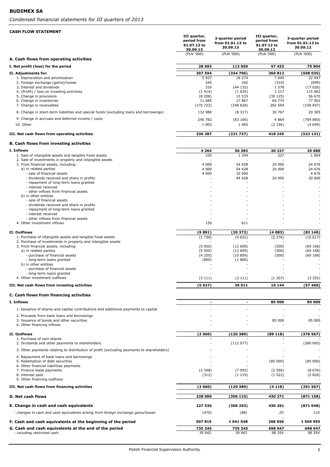*Condensed fianancial statements for III quarters of 2013*

| <b>CASH FLOW STATEMENT</b>                                                                                                             |                                                        |                                                  |                                                        |                                                  |
|----------------------------------------------------------------------------------------------------------------------------------------|--------------------------------------------------------|--------------------------------------------------|--------------------------------------------------------|--------------------------------------------------|
|                                                                                                                                        | III quarter,<br>period from<br>01.07.13 to<br>30.09.13 | 3-quarter period<br>from 01.01.13 to<br>30.09.13 | III quarter,<br>period from<br>01.07.12 to<br>30.09.12 | 3-quarter period<br>from 01.01.12 to<br>30.09.12 |
| A. Cash flows from operating activities                                                                                                | (PLN '000)                                             | (PLN '000)                                       | (PLN '000)                                             | (PLN '000)                                       |
| I. Net profit (loss) for the period                                                                                                    | 28 693                                                 | 113 059                                          | 57 433                                                 | 75 904                                           |
| II. Adjustments for:                                                                                                                   | 207 594                                                | (334796)                                         | 360 812                                                | (598 035)                                        |
| 1. Depreciation and amortisation                                                                                                       | 5 9 2 7                                                | 18 274                                           | 7 6 4 9                                                | 22 947                                           |
| 2. Foreign exchange (gains)/losses<br>3. Interest and dividends                                                                        | 245<br>316                                             | 342                                              | (310)<br>1 578                                         | (699)                                            |
| 4. (Profit) / loss on investing activities                                                                                             | (1414)                                                 | (44132)<br>(1834)                                | 1 2 1 7                                                | (17026)<br>115 462                               |
| 5. Change in provisions                                                                                                                | (8208)                                                 | 13 533                                           | (30125)                                                | 56 670                                           |
| 6. Change in inventories<br>7. Change in receivables                                                                                   | 11 685<br>(175 722)                                    | 17867<br>(248828)                                | 64 774<br>282 594                                      | 77 562<br>(158697)                               |
| 8. Change in short-term liabilities and special funds (excluding loans and borrowings)                                                 | 132 980                                                | (8317)                                           | 30 767                                                 | 20 305                                           |
| 9. Change in accruals and deferred income / costs                                                                                      | 240 782                                                | (83166)                                          | 4 8 6 4                                                | (709 860)                                        |
| 10. Other                                                                                                                              | 1 0 0 3                                                | 1 4 6 5                                          | (2196)                                                 | (4699)                                           |
| III. Net cash flows from operating activities                                                                                          | 236 287                                                | (221737)                                         | 418 245                                                | (522131)                                         |
| <b>B. Cash flows from investing activities</b>                                                                                         |                                                        |                                                  |                                                        |                                                  |
| I. Inflows                                                                                                                             | 4 2 6 4                                                | 56 383                                           | 20 227                                                 | 25 680                                           |
| 1. Sale of intangible assets and tangible fixed assets                                                                                 | 105                                                    | 1 3 4 4                                          | 227                                                    | 1 0 0 4                                          |
| 2. Sale of investments in property and intangible assets<br>3. From financial assets, including:                                       | 4 0 0 0                                                | 54 428                                           | 20 000                                                 | 24 676                                           |
| a) in related parties                                                                                                                  | 4 0 0 0                                                | 54 428                                           | 20 000                                                 | 24 676                                           |
| - sale of financial assets<br>- dividends received and share in profits                                                                | 4 0 0 0                                                | 10 000<br>44 428                                 | 20 000                                                 | 4 6 7 6<br>20 000                                |
| - repayment of long-term loans granted                                                                                                 |                                                        |                                                  |                                                        |                                                  |
| - interest received<br>- other inflows from financial assets                                                                           |                                                        |                                                  |                                                        |                                                  |
| b) in other entities                                                                                                                   |                                                        |                                                  |                                                        |                                                  |
| - sale of financial assets<br>- dividends received and share in profits                                                                |                                                        |                                                  |                                                        |                                                  |
| - repayment of long-term loans granted                                                                                                 |                                                        |                                                  |                                                        |                                                  |
| - interest received<br>- other inflows from financial assets                                                                           |                                                        |                                                  |                                                        |                                                  |
| 4. Other investment inflows                                                                                                            | 159                                                    | 611                                              |                                                        |                                                  |
| II. Outflows                                                                                                                           | (9891)                                                 | (20372)                                          | (4083)                                                 | (83140)                                          |
| 1. Purchase of intangible assets and tangible fixed assets                                                                             | (1730)                                                 | (4652)                                           | (2376)                                                 | (10617)                                          |
| 2. Purchase of investments in property and intangible assets<br>3. From financial assets, including:                                   | (5050)                                                 | (12609)                                          | (500)                                                  | (69168)                                          |
| a) in related parties                                                                                                                  | (5050)                                                 | (12609)                                          | (500)                                                  | (69168)                                          |
| - purchase of financial assets<br>- long-term loans granted                                                                            | (4250)<br>(800)                                        | (10809)<br>(1800)                                | (500)                                                  | (69168)                                          |
| b) in other entities                                                                                                                   |                                                        |                                                  |                                                        |                                                  |
| - purchase of financial assets<br>- long-term loans granted                                                                            |                                                        |                                                  |                                                        |                                                  |
| 4. Other investment outflows                                                                                                           | (3111)                                                 | (3111)                                           | (1 207)                                                | (3355)                                           |
| III. Net cash flows from investing activities                                                                                          | (5627)                                                 | 36 011                                           | 16 144                                                 | (57460)                                          |
| C. Cash flows from financing activities                                                                                                |                                                        |                                                  |                                                        |                                                  |
| I. Inflows                                                                                                                             | $\overline{\phantom{a}}$                               | $\blacksquare$                                   | 85 000                                                 | 85 000                                           |
| 1. Issuance of shares and capital contributions and additional payments to capital                                                     |                                                        |                                                  |                                                        |                                                  |
| 2. Proceeds from bank loans and borrowings<br>3. Issuance of bonds and other securities                                                |                                                        |                                                  |                                                        |                                                  |
| 4. Other financing inflows                                                                                                             |                                                        |                                                  | 85 000                                                 | 85 000                                           |
| II. Outflows                                                                                                                           | (2660)                                                 | (120389)                                         | (89118)                                                | (376567)                                         |
| 1. Purchase of own shares                                                                                                              |                                                        |                                                  |                                                        |                                                  |
| 2. Dividends and other payments to shareholders                                                                                        |                                                        | (112077)                                         |                                                        | (280065)                                         |
| 3. Other payments relating to distribution of profit (excluding payments to shareholders)<br>4. Repayment of bank loans and borrowings |                                                        |                                                  |                                                        |                                                  |
| 5. Redemption of debt securities                                                                                                       |                                                        |                                                  | (85000)                                                | (85000)                                          |
| 6. Other financial liabilities payments                                                                                                |                                                        |                                                  |                                                        |                                                  |
| 7. Finance lease payments<br>8. Interest paid                                                                                          | (2348)<br>(312)                                        | (7093)<br>(1219)                                 | (2596)<br>(1522)                                       | (8676)<br>(2826)                                 |
| 9. Other financing outflows                                                                                                            |                                                        |                                                  |                                                        |                                                  |
| III. Net cash flows from financing activities                                                                                          | (2660)                                                 | (120389)                                         | (4 118)                                                | (291 567)                                        |
| D. Net cash flows                                                                                                                      | 228 000                                                | (306 115)                                        | 430 271                                                | (871 158)                                        |
| E. Change in cash and cash equivalents                                                                                                 | 227 530                                                | (306 203)                                        | 430 291                                                | (871048)                                         |
| - changes in cash and cash equivalents arising from foreign exchange gains/losses                                                      | (470)                                                  | (88)                                             | 20                                                     | <i>110</i>                                       |
| F. Cash and cash equivalents at the beginning of the period                                                                            | 507815                                                 | 1 041 548                                        | 268 656                                                | 1 569 995                                        |
| G. Cash and cash equivalents at the end of the period                                                                                  | 735 345                                                | 735 345                                          | 698 947                                                | 698 947                                          |
| - including restricted cash                                                                                                            | 39 942                                                 | 39 942                                           | 98 354                                                 | 98 354                                           |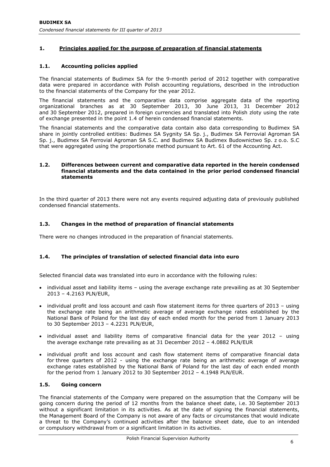# **1. Principles applied for the purpose of preparation of financial statements**

# **1.1. Accounting policies applied**

The financial statements of Budimex SA for the 9-month period of 2012 together with comparative data were prepared in accordance with Polish accounting regulations, described in the introduction to the financial statements of the Company for the year 2012.

The financial statements and the comparative data comprise aggregate data of the reporting organizational branches as at 30 September 2013, 30 June 2013, 31 December 2012 and 30 September 2012, prepared in foreign currencies and translated into Polish zloty using the rate of exchange presented in the point 1.4 of herein condensed financial statements.

The financial statements and the comparative data contain also data corresponding to Budimex SA share in jointly controlled entities: Budimex SA Sygnity SA Sp. j., Budimex SA Ferrovial Agroman SA Sp. j., Budimex SA Ferrovial Agroman SA S.C. and Budimex SA Budimex Budownictwo Sp. z o.o. S.C that were aggregated using the proportionate method pursuant to Art. 61 of the Accounting Act.

### **1.2. Differences between current and comparative data reported in the herein condensed financial statements and the data contained in the prior period condensed financial statements**

In the third quarter of 2013 there were not any events required adjusting data of previously published condensed financial statements.

# **1.3. Changes in the method of preparation of financial statements**

There were no changes introduced in the preparation of financial statements.

# **1.4. The principles of translation of selected financial data into euro**

Selected financial data was translated into euro in accordance with the following rules:

- individual asset and liability items using the average exchange rate prevailing as at 30 September 2013 – 4.2163 PLN/EUR,
- individual profit and loss account and cash flow statement items for three quarters of 2013 using the exchange rate being an arithmetic average of average exchange rates established by the National Bank of Poland for the last day of each ended month for the period from 1 January 2013 to 30 September 2013 – 4.2231 PLN/EUR,
- individual asset and liability items of comparative financial data for the year 2012 using the average exchange rate prevailing as at 31 December 2012 – 4.0882 PLN/EUR
- individual profit and loss account and cash flow statement items of comparative financial data for three quarters of 2012 - using the exchange rate being an arithmetic average of average exchange rates established by the National Bank of Poland for the last day of each ended month for the period from 1 January 2012 to 30 September 2012 – 4.1948 PLN/EUR.

## **1.5. Going concern**

The financial statements of the Company were prepared on the assumption that the Company will be going concern during the period of 12 months from the balance sheet date, i.e. 30 September 2013 without a significant limitation in its activities. As at the date of signing the financial statements, the Management Board of the Company is not aware of any facts or circumstances that would indicate a threat to the Company's continued activities after the balance sheet date, due to an intended or compulsory withdrawal from or a significant limitation in its activities.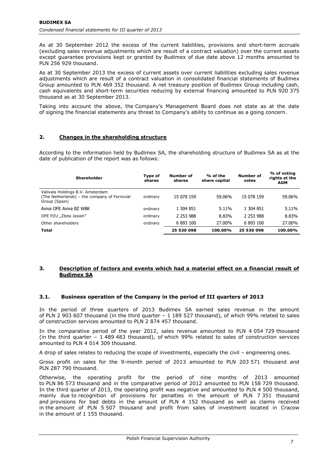As at 30 September 2012 the excess of the current liabilities, provisions and short-term accruals (excluding sales revenue adjustments which are result of a contract valuation) over the current assets except guarantee provisions kept or granted by Budimex of due date above 12 months amounted to PLN 256 929 thousand.

As at 30 September 2013 the excess of current assets over current liabilities excluding sales revenue adjustments which are result of a contract valuation in consolidated financial statements of Budimex Group amounted to PLN 469 352 thousand. A net treasury position of Budimex Group including cash, cash equivalents and short-term securities reducing by external financing amounted to PLN 920 375 thousand as at 30 September 2013.

Taking into account the above, the Company's Management Board does not state as at the date of signing the financial statements any threat to Company's ability to continue as a going concern.

## **2. Changes in the shareholding structure**

According to the information held by Budimex SA, the shareholding structure of Budimex SA as at the date of publication of the report was as follows:

| <b>Shareholder</b>                                                                                | Type of<br>shares | Number of<br>shares | % of the<br>share capital | Number of<br>votes | % of voting<br>rights at the<br><b>AGM</b> |
|---------------------------------------------------------------------------------------------------|-------------------|---------------------|---------------------------|--------------------|--------------------------------------------|
| Valivala Holdings B.V. Amsterdam<br>(The Netherlands) – the company of Ferrovial<br>Group (Spain) | ordinary          | 15 078 159          | 59.06%                    | 15 078 159         | 59.06%                                     |
| Aviva OFE Aviva BZ WBK                                                                            | ordinary          | 1 304 851           | 5.11%                     | 1 304 851          | 5.11%                                      |
| OFE PZU "Złota Jesień"                                                                            | ordinary          | 2 2 5 3 9 8 8       | 8.83%                     | 2 2 5 3 9 8 8      | 8.83%                                      |
| Other shareholders                                                                                | ordinary          | 6 893 100           | 27.00%                    | 6 893 100          | 27.00%                                     |
| Total                                                                                             |                   | 25 530 098          | 100.00%                   | 25 530 098         | 100.00%                                    |

# **3. Description of factors and events which had a material effect on a financial result of Budimex SA**

# **3.1. Business operation of the Company in the period of III quarters of 2013**

In the period of three quarters of 2013 Budimex SA earned sales revenue in the amount of PLN 2 903 607 thousand (in the third quarter – 1 189 527 thousand), of which 99% related to sales of construction services amounted to PLN 2 874 457 thousand.

In the comparative period of the year 2012, sales revenue amounted to PLN 4 054 729 thousand (in the third quarter – 1 489 483 thousand), of which 99% related to sales of construction services amounted to PLN 4 014 309 thousand.

A drop of sales relates to reducing the scope of investments, especially the civil – engineering ones.

Gross profit on sales for the 9-month period of 2013 amounted to PLN 203 571 thousand and PLN 287 790 thousand.

Otherwise, the operating profit for the period of nine months of 2013 amounted to PLN 86 573 thousand and in the comparative period of 2012 amounted to PLN 158 729 thousand. In the third quarter of 2013, the operating profit was negative and amounted to PLN 4 500 thousand, mainly due to recognition of provisions for penalties in the amount of PLN 7 351 thousand and provisions for bad debts in the amount of PLN 4 152 thousand as well as claims received in the amount of PLN 5 507 thousand and profit from sales of investment located in Cracow in the amount of 1 155 thousand.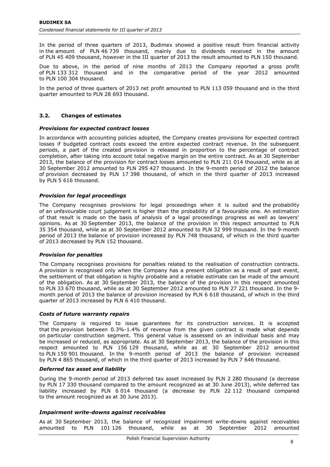In the period of three quarters of 2013, Budimex showed a positive result from financial activity in the amount of PLN 46 739 thousand, mainly due to dividends received in the amount of PLN 45 409 thousand, however in the III quarter of 2013 the result amounted to PLN 150 thousand.

Due to above, in the period of nine months of 2013 the Company reported a gross profit of PLN 133 312 thousand and in the comparative period of the year 2012 amounted to PLN 100 304 thousand.

In the period of three quarters of 2013 net profit amounted to PLN 113 059 thousand and in the third quarter amounted to PLN 28 693 thousand.

# **3.2. Changes of estimates**

### *Provisions for expected contract losses*

In accordance with accounting policies adopted, the Company creates provisions for expected contract losses if budgeted contract costs exceed the entire expected contract revenue. In the subsequent periods, a part of the created provision is released in proportion to the percentage of contract completion, after taking into account total negative margin on the entire contract. As at 30 September 2013, the balance of the provision for contract losses amounted to PLN 211 014 thousand, while as at 30 September 2012 amounted to PLN 295 427 thousand. In the 9-month period of 2012 the balance of provision decreased by PLN 17 398 thousand, of which in the third quarter of 2013 increased by PLN 5 616 thousand.

### *Provision for legal proceedings*

The Company recognises provisions for legal proceedings when it is suited and the probability of an unfavourable court judgement is higher than the probability of a favourable one. An estimation of that result is made on the basis of analysis of a legal proceedings progress as well as lawyers' opinions. As at 30 September 2013, the balance of the provision in this respect amounted to PLN 35 354 thousand, while as at 30 September 2012 amounted to PLN 32 999 thousand. In the 9-month period of 2013 the balance of provision increased by PLN 748 thousand, of which in the third quarter of 2013 decreased by PLN 152 thousand.

### *Provision for penalties*

The Company recognises provisions for penalties related to the realisation of construction contracts. A provision is recognised only when the Company has a present obligation as a result of past event, the settlement of that obligation is highly probable and a reliable estimate can be made of the amount of the obligation. As at 30 September 2013, the balance of the provision in this respect amounted to PLN 33 670 thousand, while as at 30 September 2012 amounted to PLN 27 221 thousand. In the 9 month period of 2013 the balance of provision increased by PLN 6 618 thousand, of which in the third quarter of 2013 increased by PLN 6 410 thousand.

### *Costs of future warranty repairs*

The Company is required to issue guarantees for its construction services. It is accepted that the provision between 0.3%-1.4% of revenue from the given contract is made what depends on particular construction segment. This general value is assessed on an individual basis and may be increased or reduced, as appropriate. As at 30 September 2013, the balance of the provision in this respect amounted to PLN 156 129 thousand, while as at 30 September 2012 amounted to PLN 150 901 thousand. In the 9-month period of 2013 the balance of provision increased by PLN 4 865 thousand, of which in the third quarter of 2013 increased by PLN 7 646 thousand.

## *Deferred tax asset and liability*

During the 9-month period of 2013 deferred tax asset increased by PLN 2 280 thousand (a decrease by PLN 17 330 thousand compared to the amount recognized as at 30 June 2013), while deferred tax liability increased by PLN 6 014 thousand (a decrease by PLN 22 112 thousand compared to the amount recognized as at 30 June 2013).

### *Impairment write-downs against receivables*

As at 30 September 2013, the balance of recognized impairment write-downs against receivables amounted to PLN 101 126 thousand, while as at 30 September 2012 amounted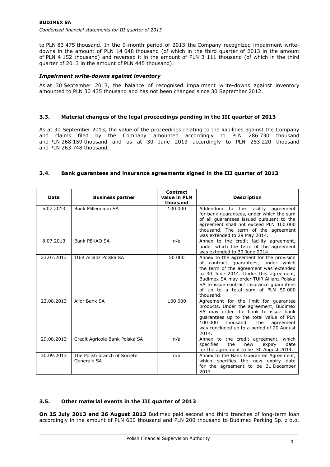to PLN 83 475 thousand. In the 9-month period of 2013 the Company recognized impairment writedowns in the amount of PLN 14 048 thousand (of which in the third quarter of 2013 in the amount of PLN 4 152 thousand) and reversed it in the amount of PLN 3 111 thousand (of which in the third quarter of 2013 in the amount of PLN 445 thousand).

## *Impairment write-downs against inventory*

As at 30 September 2013, the balance of recognised impairment write-downs against inventory amounted to PLN 30 435 thousand and has not been changed since 30 September 2012.

## **3.3. Material changes of the legal proceedings pending in the III quarter of 2013**

As at 30 September 2013, the value of the proceedings relating to the liabilities against the Company and claims filed by the Company amounted accordingly to PLN 286 730 thousand and PLN 268 159 thousand and as at 30 June 2013 accordingly to PLN 283 220 thousand and PLN 263 748 thousand.

## **3.4. Bank guarantees and insurance agreements signed in the III quarter of 2013**

| <b>Date</b> | <b>Business partner</b>                     | <b>Contract</b><br>value in PLN<br>thousand | <b>Description</b>                                                                                                                                                                                                                                                                                              |
|-------------|---------------------------------------------|---------------------------------------------|-----------------------------------------------------------------------------------------------------------------------------------------------------------------------------------------------------------------------------------------------------------------------------------------------------------------|
| 5.07.2013   | Bank Millennium SA                          | 100 000                                     | Addendum to the facility agreement<br>for bank guarantees, under which the sum<br>of all quarantees issued pursuant to the<br>agreement shall not exceed PLN 100 000<br>thousand. The term of the agreement<br>was extended to 29 May 2014.                                                                     |
| 8.07.2013   | Bank PEKAO SA                               | n/a                                         | Annex to the credit facility agreement,<br>under which the term of the agreement<br>was extended to 30 June 2014.                                                                                                                                                                                               |
| 23.07.2013  | TUIR Allianz Polska SA                      | 50 000                                      | Annex to the agreement for the provision<br>of contract quarantees, under which<br>the term of the agreement was extended<br>to 30 June 2014. Under this agreement,<br>Budimex SA may order TUiR Allianz Polska<br>SA to issue contract insurance quarantees<br>of up to a total sum of PLN 50 000<br>thousand. |
| 22.08.2013  | Alior Bank SA                               | 100 000                                     | Agreement for the limit for guarantee<br>products. Under the agreement, Budimex<br>SA may order the bank to issue bank<br>guarantees up to the total value of PLN<br>thousand.<br>100 000<br><b>The</b><br>agreement<br>was concluded up to a period of 20 August<br>2014.                                      |
| 29.08.2013  | Credit Agricole Bank Polska SA              | n/a                                         | Annex to the credit agreement, which<br>specifies<br>the<br>date<br>new<br>expiry<br>for the agreement to be 30 August 2014.                                                                                                                                                                                    |
| 30.09.2013  | The Polish branch of Societe<br>Generale SA | n/a                                         | Annex to the Bank Guarantee Agreement,<br>which specifies the new expiry date<br>for the agreement to be 31 December<br>2013.                                                                                                                                                                                   |

### **3.5. Other material events in the III quarter of 2013**

**On 25 July 2013 and 26 August 2013** Budimex paid second and third tranches of long-term loan accordingly in the amount of PLN 600 thousand and PLN 200 thousand to Budimex Parking Sp. z o.o.